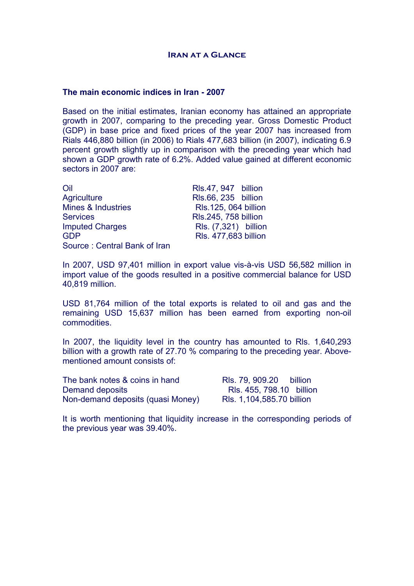#### **The main economic indices in Iran - 2007**

Based on the initial estimates, Iranian economy has attained an appropriate growth in 2007, comparing to the preceding year. Gross Domestic Product (GDP) in base price and fixed prices of the year 2007 has increased from Rials 446,880 billion (in 2006) to Rials 477,683 billion (in 2007), indicating 6.9 percent growth slightly up in comparison with the preceding year which had shown a GDP growth rate of 6.2%. Added value gained at different economic sectors in 2007 are:

| Oil                           | RIs.47, 947 billion  |
|-------------------------------|----------------------|
| <b>Agriculture</b>            | RIs.66, 235 billion  |
| <b>Mines &amp; Industries</b> | RIs.125, 064 billion |
| <b>Services</b>               | RIs.245, 758 billion |
| <b>Imputed Charges</b>        | Rls. (7,321) billion |
| <b>GDP</b>                    | Rls. 477,683 billion |
| Source: Central Bank of Iran  |                      |

In 2007, USD 97,401 million in export value vis-à-vis USD 56,582 million in import value of the goods resulted in a positive commercial balance for USD 40,819 million.

USD 81,764 million of the total exports is related to oil and gas and the remaining USD 15,637 million has been earned from exporting non-oil commodities.

In 2007, the liquidity level in the country has amounted to Rls. 1,640,293 billion with a growth rate of 27.70 % comparing to the preceding year. Abovementioned amount consists of:

| The bank notes & coins in hand    | RIs. 79, 909.20<br>billion |
|-----------------------------------|----------------------------|
| Demand deposits                   | RIs. 455, 798.10 billion   |
| Non-demand deposits (quasi Money) | RIs. 1,104,585.70 billion  |

It is worth mentioning that liquidity increase in the corresponding periods of the previous year was 39.40%.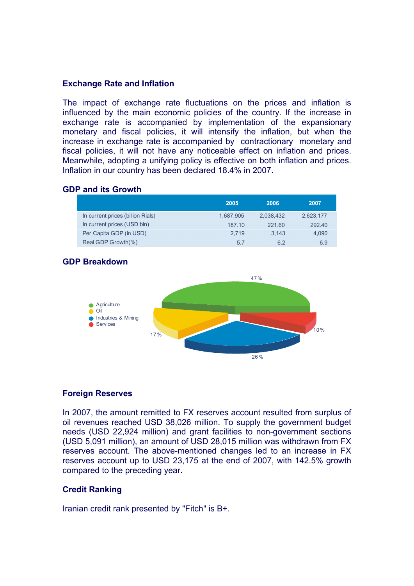## **Exchange Rate and Inflation**

The impact of exchange rate fluctuations on the prices and inflation is influenced by the main economic policies of the country. If the increase in exchange rate is accompanied by implementation of the expansionary monetary and fiscal policies, it will intensify the inflation, but when the increase in exchange rate is accompanied by contractionary monetary and fiscal policies, it will not have any noticeable effect on inflation and prices. Meanwhile, adopting a unifying policy is effective on both inflation and prices. Inflation in our country has been declared 18.4% in 2007.

#### **GDP and its Growth**

|                                   | 2005      | 2006      | 2007      |
|-----------------------------------|-----------|-----------|-----------|
| In current prices (billion Rials) | 1.687.905 | 2.038.432 | 2,623,177 |
| In current prices (USD bln)       | 187.10    | 221.60    | 292.40    |
| Per Capita GDP (in USD)           | 2.719     | 3.143     | 4.090     |
| Real GDP Growth(%)                | 5.7       | 6.2       | 6.9       |

# **GDP Breakdown**



# **Foreign Reserves**

In 2007, the amount remitted to FX reserves account resulted from surplus of oil revenues reached USD 38,026 million. To supply the government budget needs (USD 22,924 million) and grant facilities to non-government sections (USD 5,091 million), an amount of USD 28,015 million was withdrawn from FX reserves account. The above-mentioned changes led to an increase in FX reserves account up to USD 23,175 at the end of 2007, with 142.5% growth compared to the preceding year.

# **Credit Ranking**

Iranian credit rank presented by "Fitch" is B+.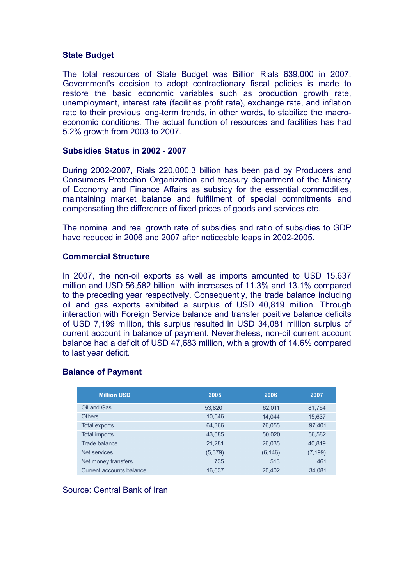#### **State Budget**

The total resources of State Budget was Billion Rials 639,000 in 2007. Government's decision to adopt contractionary fiscal policies is made to restore the basic economic variables such as production growth rate, unemployment, interest rate (facilities profit rate), exchange rate, and inflation rate to their previous long-term trends, in other words, to stabilize the macroeconomic conditions. The actual function of resources and facilities has had 5.2% growth from 2003 to 2007.

## **Subsidies Status in 2002 - 2007**

During 2002-2007, Rials 220,000.3 billion has been paid by Producers and Consumers Protection Organization and treasury department of the Ministry of Economy and Finance Affairs as subsidy for the essential commodities, maintaining market balance and fulfillment of special commitments and compensating the difference of fixed prices of goods and services etc.

The nominal and real growth rate of subsidies and ratio of subsidies to GDP have reduced in 2006 and 2007 after noticeable leaps in 2002-2005.

## **Commercial Structure**

In 2007, the non-oil exports as well as imports amounted to USD 15,637 million and USD 56,582 billion, with increases of 11.3% and 13.1% compared to the preceding year respectively. Consequently, the trade balance including oil and gas exports exhibited a surplus of USD 40,819 million. Through interaction with Foreign Service balance and transfer positive balance deficits of USD 7,199 million, this surplus resulted in USD 34,081 million surplus of current account in balance of payment. Nevertheless, non-oil current account balance had a deficit of USD 47,683 million, with a growth of 14.6% compared to last year deficit.

# **Balance of Payment**

| <b>Million USD</b>       | 2005     | 2006     | 2007     |
|--------------------------|----------|----------|----------|
| Oil and Gas              | 53,820   | 62,011   | 81,764   |
| <b>Others</b>            | 10,546   | 14.044   | 15,637   |
| <b>Total exports</b>     | 64,366   | 76,055   | 97,401   |
| <b>Total imports</b>     | 43,085   | 50,020   | 56,582   |
| Trade balance            | 21,281   | 26,035   | 40,819   |
| Net services             | (5, 379) | (6, 146) | (7, 199) |
| Net money transfers      | 735      | 513      | 461      |
| Current accounts balance | 16.637   | 20,402   | 34,081   |

## Source: Central Bank of Iran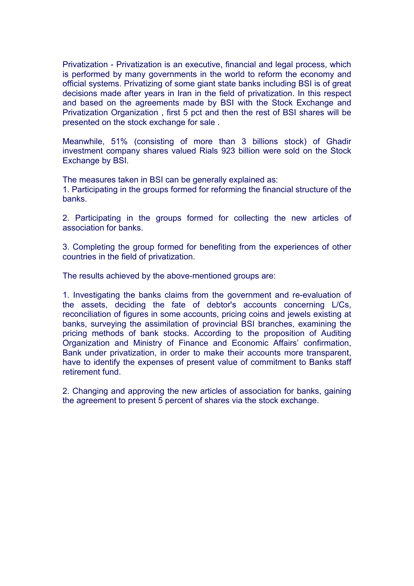Privatization - Privatization is an executive, financial and legal process, which is performed by many governments in the world to reform the economy and official systems. Privatizing of some giant state banks including BSI is of great decisions made after years in Iran in the field of privatization. In this respect and based on the agreements made by BSI with the Stock Exchange and Privatization Organization , first 5 pct and then the rest of BSI shares will be presented on the stock exchange for sale .

Meanwhile, 51% (consisting of more than 3 billions stock) of Ghadir investment company shares valued Rials 923 billion were sold on the Stock Exchange by BSI.

The measures taken in BSI can be generally explained as:

1. Participating in the groups formed for reforming the financial structure of the banks.

2. Participating in the groups formed for collecting the new articles of association for banks.

. Completing the group formed for benefiting from the experiences of other 3 countries in the field of privatization.

The results achieved by the above-mentioned groups are:

. Investigating the banks claims from the government and re-evaluation of 1 the assets, deciding the fate of debtor's accounts concerning L/Cs, reconciliation of figures in some accounts, pricing coins and jewels existing at banks, surveying the assimilation of provincial BSI branches, examining the pricing methods of bank stocks. According to the proposition of Auditing Organization and Ministry of Finance and Economic Affairs' confirmation, Bank under privatization, in order to make their accounts more transparent, have to identify the expenses of present value of commitment to Banks staff retirement fund.

. Changing and approving the new articles of association for banks, gaining 2 the agreement to present 5 percent of shares via the stock exchange.